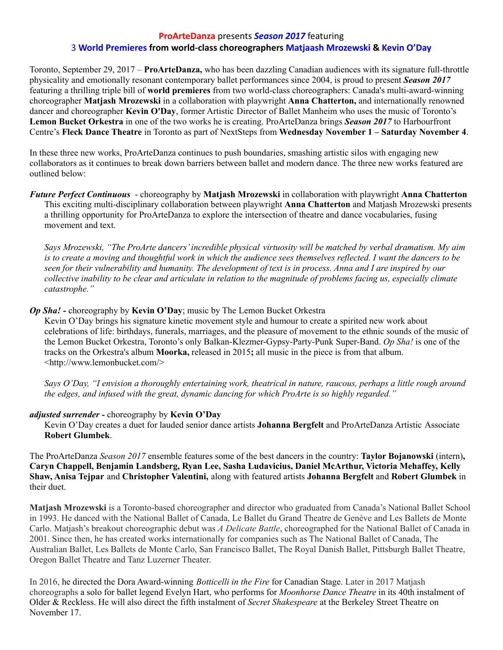## **ProArteDanza** presents *Season 2017* featuring 3 **World Premieres from world-class choreographers Matjaash Mrozewski & Kevin O'Day**

Toronto, September 29, 2017 – **ProArteDanza,** who has been dazzling Canadian audiences with its signature full-throttle physicality and emotionally resonant contemporary ballet performances since 2004, is proud to present *Season 2017* featuring a thrilling triple bill of **world premieres** from two world-class choreographers: Canada's multi-award-winning choreographer **Matjash Mrozewski** in a collaboration with playwright **Anna Chatterton,** and internationally renowned dancer and choreographer **Kevin O'Day**, former Artistic Director of Ballet Manheim who uses the music of Toronto's **Lemon Bucket Orkestra** in one of the two works he is creating. ProArteDanza brings *Season 2017* to Harbourfront Centre's **Fleck Dance Theatre** in Toronto as part of NextSteps from **Wednesday November 1 – Saturday November 4**.

In these three new works, ProArteDanza continues to push boundaries, smashing artistic silos with engaging new collaborators as it continues to break down barriers between ballet and modern dance. The three new works featured are outlined below:

*Future Perfect Continuous* - choreography by **Matjash Mrozewski** in collaboration with playwright **Anna Chatterton** This exciting multi-disciplinary collaboration between playwright **Anna Chatterton** and Matjash Mrozewski presents a thrilling opportunity for ProArteDanza to explore the intersection of theatre and dance vocabularies, fusing movement and text.

*Says Mrozewski, "The ProArte dancers'incredible physical virtuosity will be matched by verbal dramatism. My aim* is to create a moving and thoughtful work in which the audience sees themselves reflected. I want the dancers to be seen for their vulnerability and humanity. The development of text is in process. Anna and I are inspired by our collective inability to be clear and articulate in relation to the magnitude of problems facing us, especially climate *catastrophe."*

## *Op Sha! -* choreography by **Kevin O'Day**; music by The Lemon Bucket Orkestra

Kevin O'Day brings his signature kinetic movement style and humour to create a spirited new work about celebrations of life: birthdays, funerals, marriages, and the pleasure of movement to the ethnic sounds of the music of the Lemon Bucket Orkestra, Toronto's only Balkan-Klezmer-Gypsy-Party-Punk Super-Band. *Op Sha!* is one of the tracks on the Orkestra's album **Moorka,** released in 2015**;** all music in the piece is from that album. <http://www.lemonbucket.com/>

Says O'Day, "I envision a thoroughly entertaining work, theatrical in nature, raucous, perhaps a little rough around *the edges, and infused with the great, dynamic dancing for which ProArte is so highly regarded."*

## *adjusted surrender -* choreography by **Kevin O'Day**

Kevin O'Day creates a duet for lauded senior dance artists **Johanna Bergfelt** and ProArteDanza Artistic Associate **Robert Glumbek**.

The ProArteDanza *Season 2017* ensemble features some of the best dancers in the country: **Taylor Bojanowski** (intern)**, Caryn Chappell, Benjamin Landsberg, Ryan Lee, Sasha Ludavicius, Daniel McArthur, Victoria Mehaffey, Kelly Shaw, Anisa Tejpar** and **Christopher Valentini,** along with featured artists **Johanna Bergfelt** and **Robert Glumbek** in their duet.

**Matjash Mrozewski** is a Toronto-based choreographer and director who graduated from Canada's National Ballet School in 1993. He danced with the National Ballet of Canada, Le Ballet du Grand Theatre de Genève and Les Ballets de Monte Carlo. Matjash's breakout choreographic debut was *A Delicate Battle*, choreographed for the National Ballet of Canada in 2001. Since then, he has created works internationally for companies such as The National Ballet of Canada, The Australian Ballet, Les Ballets de Monte Carlo, San Francisco Ballet, The Royal Danish Ballet, Pittsburgh Ballet Theatre, Oregon Ballet Theatre and Tanz Luzerner Theater.

In 2016, he directed the Dora Award-winning *Botticelli in the Fire* for Canadian Stage. Later in 2017 Matjash choreographs a solo for ballet legend Evelyn Hart, who performs for *Moonhorse Dance Theatre* in its 40th instalment of Older & Reckless. He will also direct the fifth instalment of *Secret Shakespeare* at the Berkeley Street Theatre on November 17.